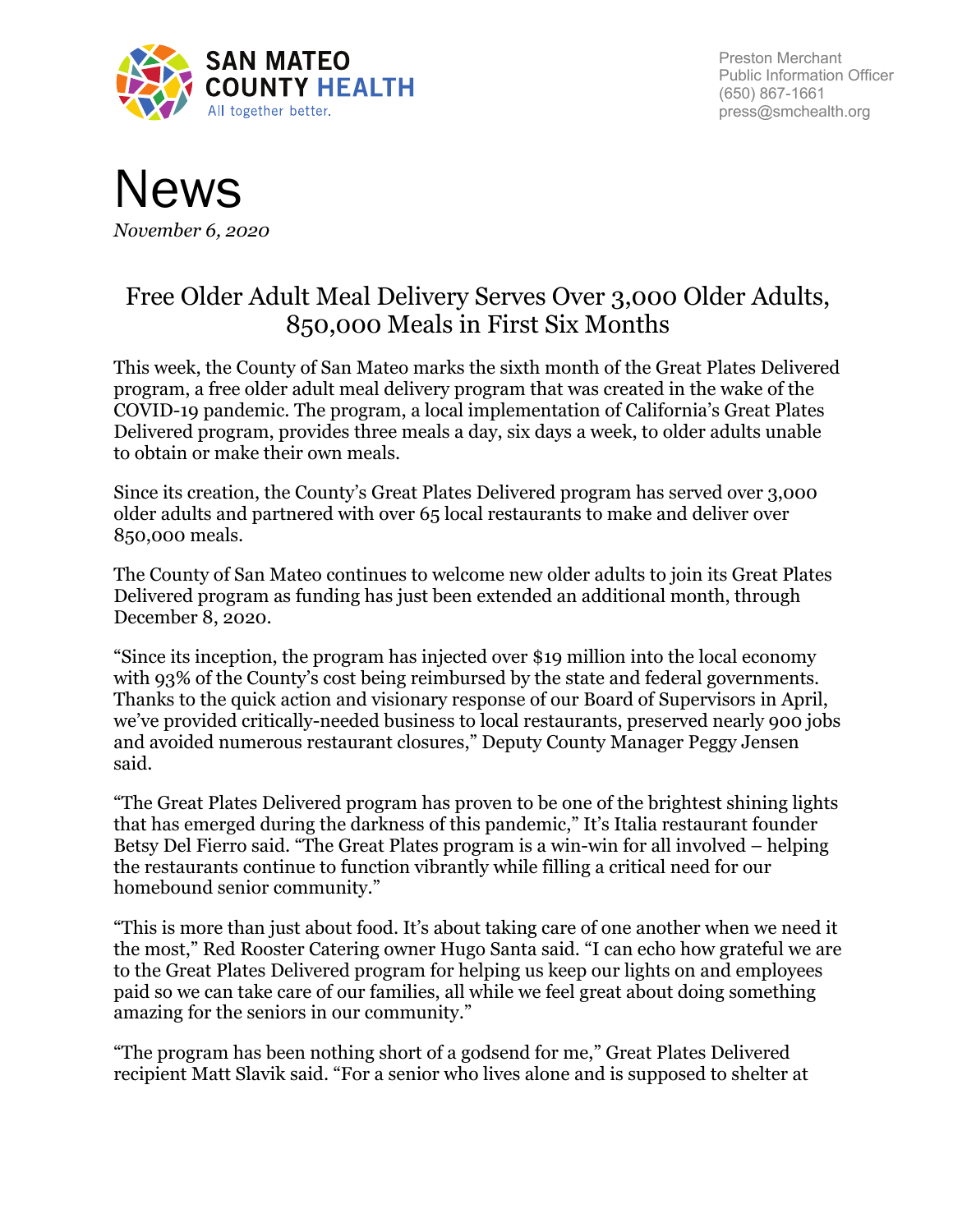

Preston Merchant Public Information Officer (650) 867-1661 press@smchealth.org



## Free Older Adult Meal Delivery Serves Over 3,000 Older Adults, 850,000 Meals in First Six Months

This week, the County of San Mateo marks the sixth month of the Great Plates Delivered program, a free older adult meal delivery program that was created in the wake of the COVID-19 pandemic. The program, a local implementation of California's Great Plates Delivered program, provides three meals a day, six days a week, to older adults unable to obtain or make their own meals.

Since its creation, the County's Great Plates Delivered program has served over 3,000 older adults and partnered with over 65 local restaurants to make and deliver over 850,000 meals.

The County of San Mateo continues to welcome new older adults to join its Great Plates Delivered program as funding has just been extended an additional month, through December 8, 2020.

"Since its inception, the program has injected over \$19 million into the local economy with 93% of the County's cost being reimbursed by the state and federal governments. Thanks to the quick action and visionary response of our Board of Supervisors in April, we've provided critically-needed business to local restaurants, preserved nearly 900 jobs and avoided numerous restaurant closures," Deputy County Manager Peggy Jensen said.

"The Great Plates Delivered program has proven to be one of the brightest shining lights that has emerged during the darkness of this pandemic," It's Italia restaurant founder Betsy Del Fierro said. "The Great Plates program is a win-win for all involved – helping the restaurants continue to function vibrantly while filling a critical need for our homebound senior community."

"This is more than just about food. It's about taking care of one another when we need it the most," Red Rooster Catering owner Hugo Santa said. "I can echo how grateful we are to the Great Plates Delivered program for helping us keep our lights on and employees paid so we can take care of our families, all while we feel great about doing something amazing for the seniors in our community."

"The program has been nothing short of a godsend for me," Great Plates Delivered recipient Matt Slavik said. "For a senior who lives alone and is supposed to shelter at